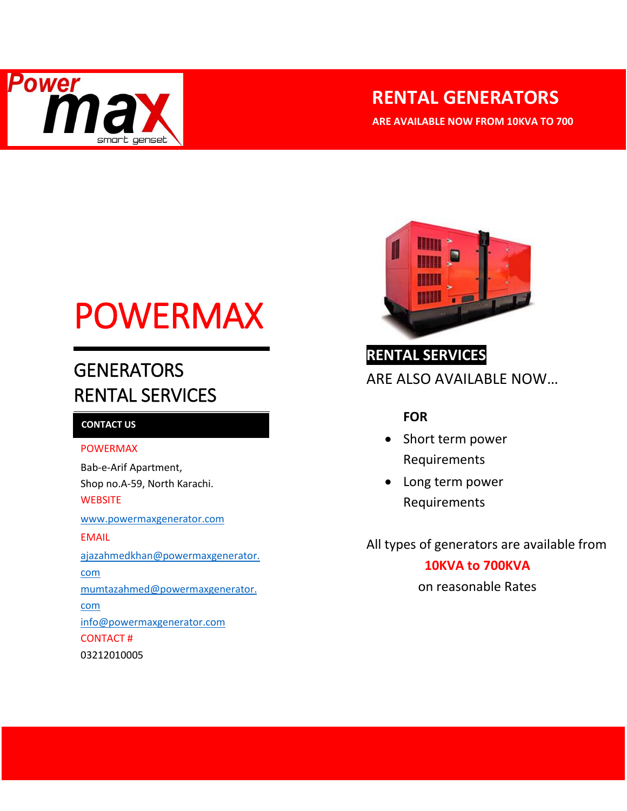

# **RENTAL GENERATORS**

**ARE AVAILABLE NOW FROM 10KVA TO 700** 

# POWERMAX

# **GENERATORS** RENTAL SERVICES

### **CONTACT US**

#### POWERMAX

Bab-e-Arif Apartment, Shop no.A-59, North Karachi. **WEBSITE** [www.powermaxgenerator.com](http://www.powermaxgenerator.com/) EMAIL [ajazahmedkhan@powermaxgenerator.](mailto:ajazahmedkhan@powermaxgenerator.com) [com](mailto:ajazahmedkhan@powermaxgenerator.com) [mumtazahmed@powermaxgenerator.](mailto:ajazahmedkhan@powermaxgenerator.com)

[com](mailto:ajazahmedkhan@powermaxgenerator.com) [info@powermaxgenerator.com](mailto:info@powermaxgenerator.com) CONTACT # 03212010005



## **RENTAL SERVICES**

ARE ALSO AVAILABLE NOW…

## **FOR**

- Short term power Requirements
- Long term power Requirements

All types of generators are available from

## **10KVA to 700KVA**

on reasonable Rates